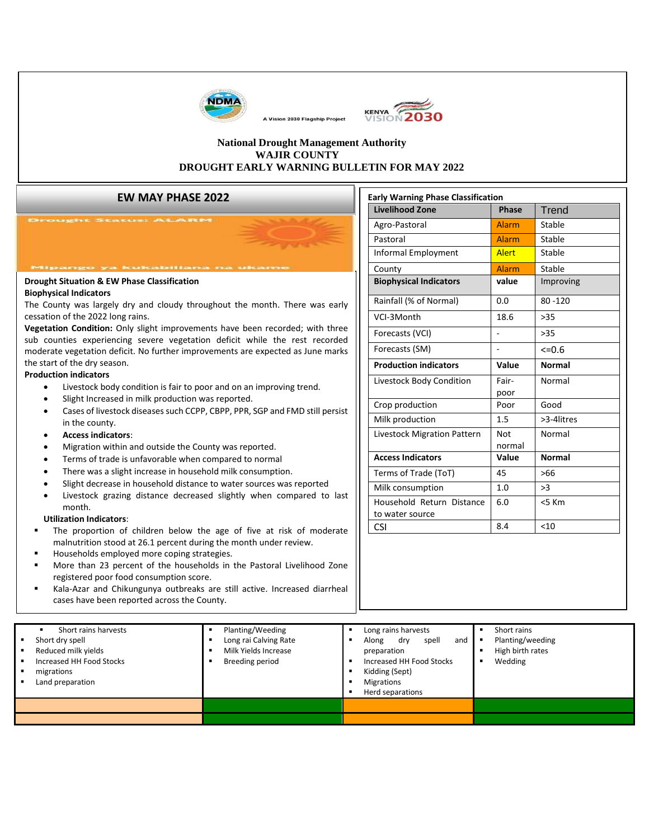

 $\overline{\phantom{a}}$ ▪ Breeding period



**Early Warning Phase Classification**

#### **National Drought Management Authority WAJIR COUNTY DROUGHT EARLY WARNING BULLETIN FOR MAY 2022**

A Vision 2030 Flagship Project

#### **EW MAY PHASE 2022**

|                                                                                                                                                                                                                                                                                                                                                                                                      |                                               |                                  | <b>Livelihood Zone</b>                       | Phase                                | Trend         |  |
|------------------------------------------------------------------------------------------------------------------------------------------------------------------------------------------------------------------------------------------------------------------------------------------------------------------------------------------------------------------------------------------------------|-----------------------------------------------|----------------------------------|----------------------------------------------|--------------------------------------|---------------|--|
|                                                                                                                                                                                                                                                                                                                                                                                                      |                                               |                                  | Agro-Pastoral                                | <b>Alarm</b>                         | Stable        |  |
| Pastoral                                                                                                                                                                                                                                                                                                                                                                                             |                                               |                                  | Alarm                                        | Stable                               |               |  |
|                                                                                                                                                                                                                                                                                                                                                                                                      |                                               |                                  | <b>Informal Employment</b>                   | <b>Alert</b>                         | Stable        |  |
| Mipango ya kukabiliana na                                                                                                                                                                                                                                                                                                                                                                            |                                               |                                  | County                                       | <b>Alarm</b>                         | Stable        |  |
| <b>Drought Situation &amp; EW Phase Classification</b>                                                                                                                                                                                                                                                                                                                                               |                                               |                                  | <b>Biophysical Indicators</b>                | value                                | Improving     |  |
| <b>Biophysical Indicators</b><br>The County was largely dry and cloudy throughout the month. There was early<br>cessation of the 2022 long rains.<br>Vegetation Condition: Only slight improvements have been recorded; with three<br>sub counties experiencing severe vegetation deficit while the rest recorded<br>moderate vegetation deficit. No further improvements are expected as June marks |                                               |                                  | Rainfall (% of Normal)                       |                                      | $80 - 120$    |  |
|                                                                                                                                                                                                                                                                                                                                                                                                      |                                               |                                  | VCI-3Month                                   |                                      | $>35$         |  |
|                                                                                                                                                                                                                                                                                                                                                                                                      |                                               |                                  | Forecasts (VCI)                              |                                      | $>35$         |  |
|                                                                                                                                                                                                                                                                                                                                                                                                      |                                               |                                  |                                              |                                      |               |  |
|                                                                                                                                                                                                                                                                                                                                                                                                      |                                               |                                  | Forecasts (SM)                               |                                      | $<=0.6$       |  |
| the start of the dry season.<br><b>Production indicators</b>                                                                                                                                                                                                                                                                                                                                         |                                               |                                  | <b>Production indicators</b>                 | Value                                | <b>Normal</b> |  |
| Livestock body condition is fair to poor and on an improving trend.<br>$\bullet$                                                                                                                                                                                                                                                                                                                     |                                               |                                  | Livestock Body Condition                     | Fair-                                | Normal        |  |
| Slight Increased in milk production was reported.<br>Cases of livestock diseases such CCPP, CBPP, PPR, SGP and FMD still persist<br>$\bullet$<br>in the county.<br><b>Access indicators:</b><br>$\bullet$<br>Migration within and outside the County was reported.<br>Terms of trade is unfavorable when compared to normal                                                                          |                                               |                                  |                                              | poor<br>Poor                         | Good          |  |
|                                                                                                                                                                                                                                                                                                                                                                                                      |                                               |                                  | Crop production                              |                                      |               |  |
|                                                                                                                                                                                                                                                                                                                                                                                                      |                                               |                                  | Milk production                              |                                      | >3-4litres    |  |
|                                                                                                                                                                                                                                                                                                                                                                                                      |                                               |                                  | Livestock Migration Pattern                  |                                      | Normal        |  |
|                                                                                                                                                                                                                                                                                                                                                                                                      |                                               |                                  | <b>Access Indicators</b>                     |                                      | <b>Normal</b> |  |
|                                                                                                                                                                                                                                                                                                                                                                                                      |                                               |                                  |                                              | Value                                |               |  |
| There was a slight increase in household milk consumption.                                                                                                                                                                                                                                                                                                                                           |                                               |                                  |                                              | 45                                   | $>66$         |  |
| Slight decrease in household distance to water sources was reported                                                                                                                                                                                                                                                                                                                                  |                                               |                                  | Terms of Trade (ToT)                         |                                      |               |  |
| Livestock grazing distance decreased slightly when compared to last                                                                                                                                                                                                                                                                                                                                  |                                               |                                  | Milk consumption                             | 1.0                                  | >3            |  |
| month.                                                                                                                                                                                                                                                                                                                                                                                               |                                               |                                  | Household Return Distance<br>to water source | 6.0                                  | <5 Km         |  |
| <b>Utilization Indicators:</b>                                                                                                                                                                                                                                                                                                                                                                       |                                               |                                  | <b>CSI</b>                                   | 8.4                                  | < 10          |  |
| The proportion of children below the age of five at risk of moderate<br>malnutrition stood at 26.1 percent during the month under review.                                                                                                                                                                                                                                                            |                                               |                                  |                                              |                                      |               |  |
| Households employed more coping strategies.                                                                                                                                                                                                                                                                                                                                                          |                                               |                                  |                                              |                                      |               |  |
| More than 23 percent of the households in the Pastoral Livelihood Zone                                                                                                                                                                                                                                                                                                                               |                                               |                                  |                                              |                                      |               |  |
| registered poor food consumption score.                                                                                                                                                                                                                                                                                                                                                              |                                               |                                  |                                              |                                      |               |  |
| Kala-Azar and Chikungunya outbreaks are still active. Increased diarrheal                                                                                                                                                                                                                                                                                                                            |                                               |                                  |                                              |                                      |               |  |
| cases have been reported across the County.                                                                                                                                                                                                                                                                                                                                                          |                                               |                                  |                                              |                                      |               |  |
|                                                                                                                                                                                                                                                                                                                                                                                                      |                                               |                                  |                                              |                                      |               |  |
| Short rains harvests<br>٠                                                                                                                                                                                                                                                                                                                                                                            | Planting/Weeding<br>$\blacksquare$            | $\blacksquare$<br>$\blacksquare$ | Long rains harvests<br>and                   | Short rains                          |               |  |
| Short dry spell<br>Reduced milk yields                                                                                                                                                                                                                                                                                                                                                               | Long rai Calving Rate<br>Milk Yields Increase | Along                            | spell<br>dry<br>preparation                  | Planting/weeding<br>High birth rates |               |  |
| Increased HH Food Stocks                                                                                                                                                                                                                                                                                                                                                                             | <b>Breeding period</b><br>$\blacksquare$      | $\blacksquare$                   | Increased HH Food Stocks                     | Wedding                              |               |  |
| migrations<br>Land preparation                                                                                                                                                                                                                                                                                                                                                                       |                                               | $\blacksquare$<br>$\blacksquare$ | Kidding (Sept)<br><b>Migrations</b>          |                                      |               |  |

▪ Short dry spell ▪ Reduced milk yields ▪ Increased HH Food Stocks

**Products** He Food Stocks

▪ Kidding (Sept)

- <u>presentation in the se</u>
- 

<u>. High birth birth rates</u> ▪ Wedding

**■** Herd separations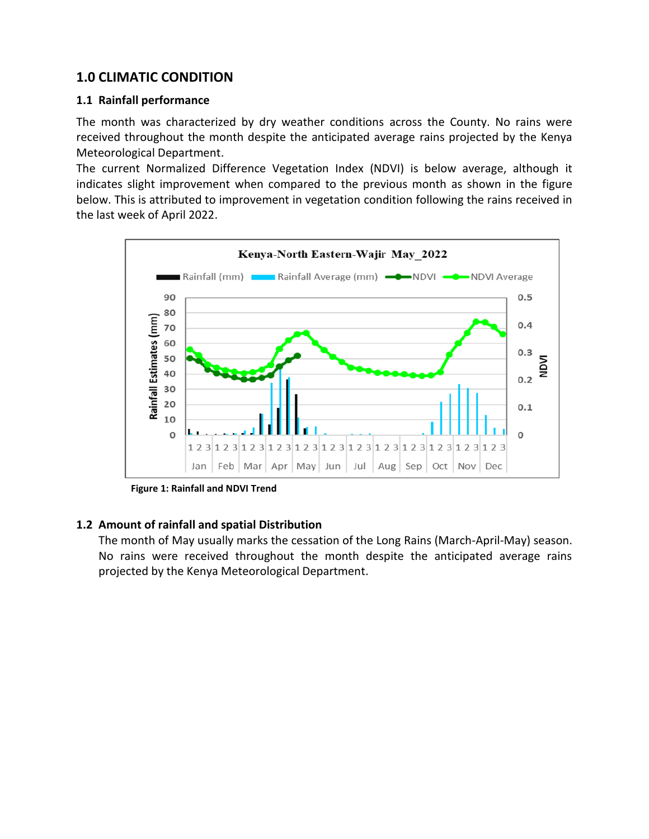# **1.0 CLIMATIC CONDITION**

#### **1.1 Rainfall performance**

The month was characterized by dry weather conditions across the County. No rains were received throughout the month despite the anticipated average rains projected by the Kenya Meteorological Department.

The current Normalized Difference Vegetation Index (NDVI) is below average, although it indicates slight improvement when compared to the previous month as shown in the figure below. This is attributed to improvement in vegetation condition following the rains received in the last week of April 2022.



**Figure 1: Rainfall and NDVI Trend**

### **1.2 Amount of rainfall and spatial Distribution**

The month of May usually marks the cessation of the Long Rains (March-April-May) season. No rains were received throughout the month despite the anticipated average rains projected by the Kenya Meteorological Department.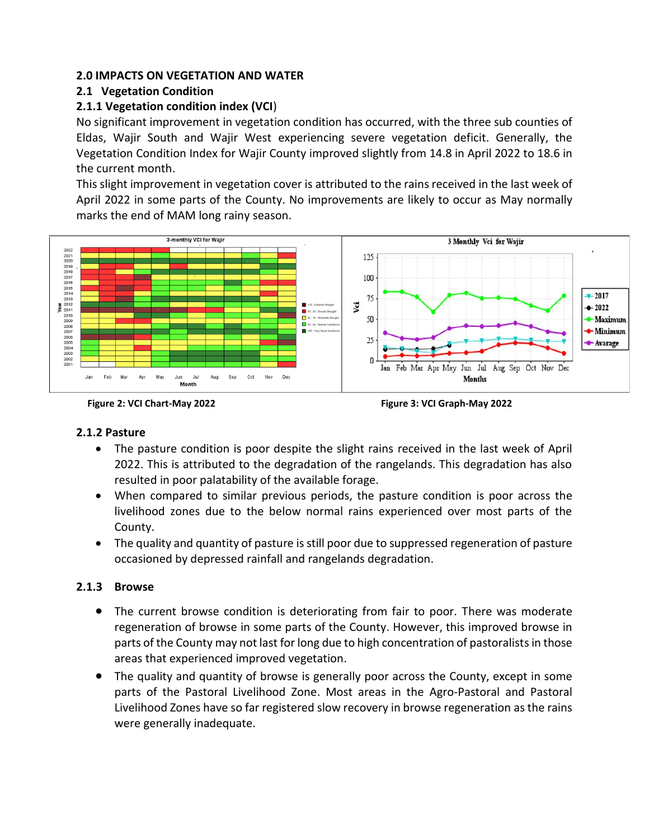#### **2.0 IMPACTS ON VEGETATION AND WATER**

### **2.1 Vegetation Condition**

### **2.1.1 Vegetation condition index (VCI**)

No significant improvement in vegetation condition has occurred, with the three sub counties of Eldas, Wajir South and Wajir West experiencing severe vegetation deficit. Generally, the Vegetation Condition Index for Wajir County improved slightly from 14.8 in April 2022 to 18.6 in the current month.

This slight improvement in vegetation cover is attributed to the rains received in the last week of April 2022 in some parts of the County. No improvements are likely to occur as May normally marks the end of MAM long rainy season.





### **2.1.2 Pasture**

- The pasture condition is poor despite the slight rains received in the last week of April 2022. This is attributed to the degradation of the rangelands. This degradation has also resulted in poor palatability of the available forage.
- When compared to similar previous periods, the pasture condition is poor across the livelihood zones due to the below normal rains experienced over most parts of the County.
- The quality and quantity of pasture is still poor due to suppressed regeneration of pasture occasioned by depressed rainfall and rangelands degradation.

### **2.1.3 Browse**

- The current browse condition is deteriorating from fair to poor. There was moderate regeneration of browse in some parts of the County. However, this improved browse in parts of the County may not last for long due to high concentration of pastoralistsin those areas that experienced improved vegetation.
- The quality and quantity of browse is generally poor across the County, except in some parts of the Pastoral Livelihood Zone. Most areas in the Agro-Pastoral and Pastoral Livelihood Zones have so far registered slow recovery in browse regeneration as the rains were generally inadequate.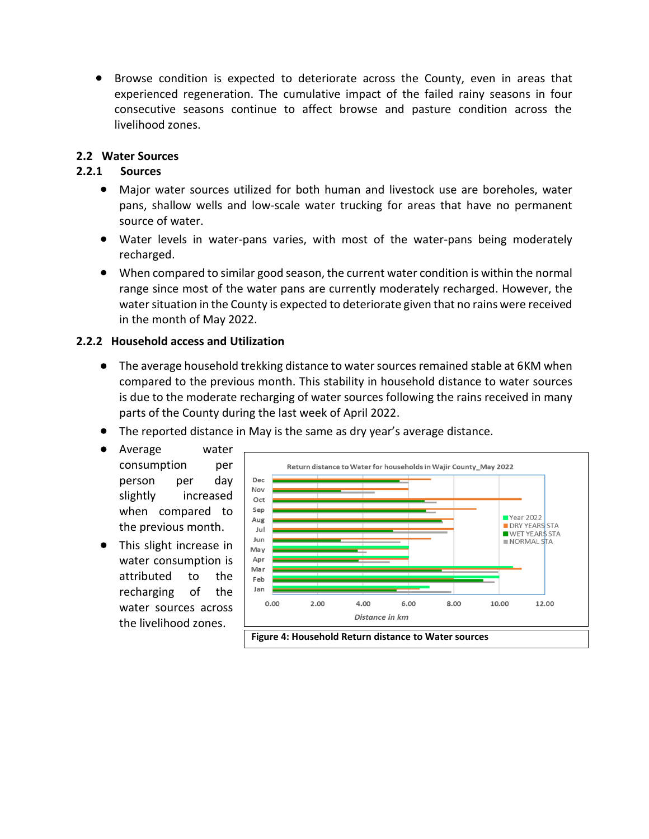• Browse condition is expected to deteriorate across the County, even in areas that experienced regeneration. The cumulative impact of the failed rainy seasons in four consecutive seasons continue to affect browse and pasture condition across the livelihood zones.

#### **2.2 Water Sources**

#### **2.2.1 Sources**

- Major water sources utilized for both human and livestock use are boreholes, water pans, shallow wells and low-scale water trucking for areas that have no permanent source of water.
- Water levels in water-pans varies, with most of the water-pans being moderately recharged.
- When compared to similar good season, the current water condition is within the normal range since most of the water pans are currently moderately recharged. However, the water situation in the County is expected to deteriorate given that no rains were received in the month of May 2022.

#### **2.2.2 Household access and Utilization**

- The average household trekking distance to water sources remained stable at 6KM when compared to the previous month. This stability in household distance to water sources is due to the moderate recharging of water sources following the rains received in many parts of the County during the last week of April 2022.
- The reported distance in May is the same as dry year's average distance.
- Average water consumption per person per day slightly increased when compared to the previous month.
- This slight increase in water consumption is attributed to the recharging of the water sources across the livelihood zones.



**Figure 4: Household Return distance to Water sources**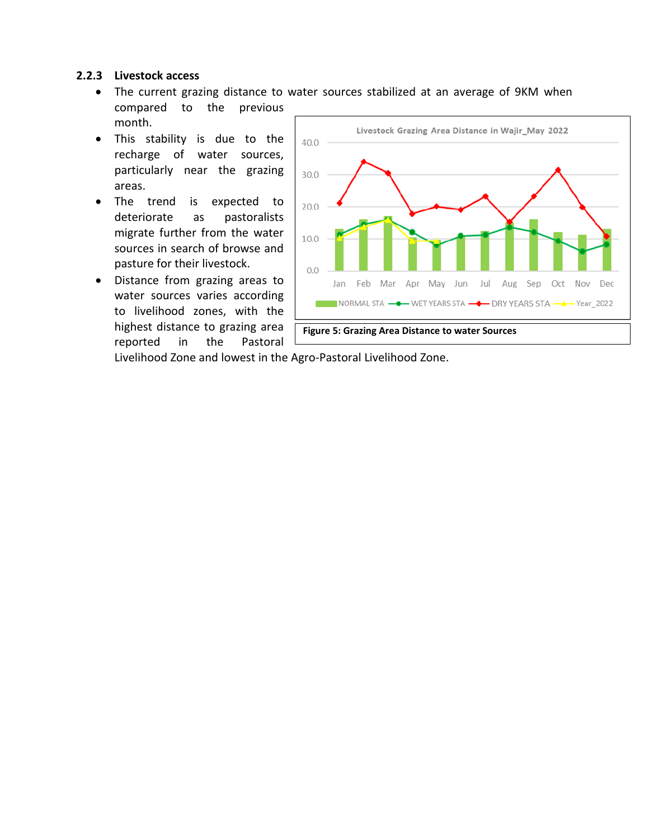#### **2.2.3 Livestock access**

- The current grazing distance to water sources stabilized at an average of 9KM when compared to the previous month.
- This stability is due to the recharge of water sources, particularly near the grazing areas.
- The trend is expected to deteriorate as pastoralists migrate further from the water sources in search of browse and pasture for their livestock.
- Distance from grazing areas to water sources varies according to livelihood zones, with the highest distance to grazing area reported in the Pastoral



Livelihood Zone and lowest in the Agro-Pastoral Livelihood Zone.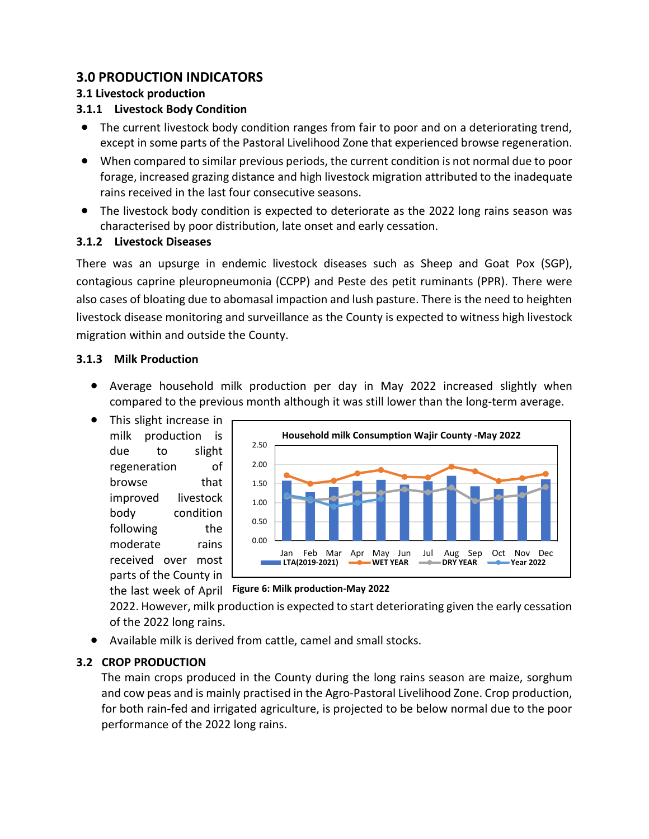# **3.0 PRODUCTION INDICATORS**

### **3.1 Livestock production**

### **3.1.1 Livestock Body Condition**

- The current livestock body condition ranges from fair to poor and on a deteriorating trend, except in some parts of the Pastoral Livelihood Zone that experienced browse regeneration.
- When compared to similar previous periods, the current condition is not normal due to poor forage, increased grazing distance and high livestock migration attributed to the inadequate rains received in the last four consecutive seasons.
- The livestock body condition is expected to deteriorate as the 2022 long rains season was characterised by poor distribution, late onset and early cessation.

### **3.1.2 Livestock Diseases**

There was an upsurge in endemic livestock diseases such as Sheep and Goat Pox (SGP), contagious caprine pleuropneumonia (CCPP) and Peste des petit ruminants (PPR). There were also cases of bloating due to abomasal impaction and lush pasture. There is the need to heighten livestock disease monitoring and surveillance as the County is expected to witness high livestock migration within and outside the County.

### **3.1.3 Milk Production**

- Average household milk production per day in May 2022 increased slightly when compared to the previous month although it was still lower than the long-term average.
- This slight increase in milk production is due to slight regeneration of browse that improved livestock body condition following the moderate rains received over most parts of the County in



the last week of April **Figure 6: Milk production-May 2022**

2022. However, milk production is expected to start deteriorating given the early cessation of the 2022 long rains.

• Available milk is derived from cattle, camel and small stocks.

## **3.2 CROP PRODUCTION**

The main crops produced in the County during the long rains season are maize, sorghum and cow peas and is mainly practised in the Agro-Pastoral Livelihood Zone. Crop production, for both rain-fed and irrigated agriculture, is projected to be below normal due to the poor performance of the 2022 long rains.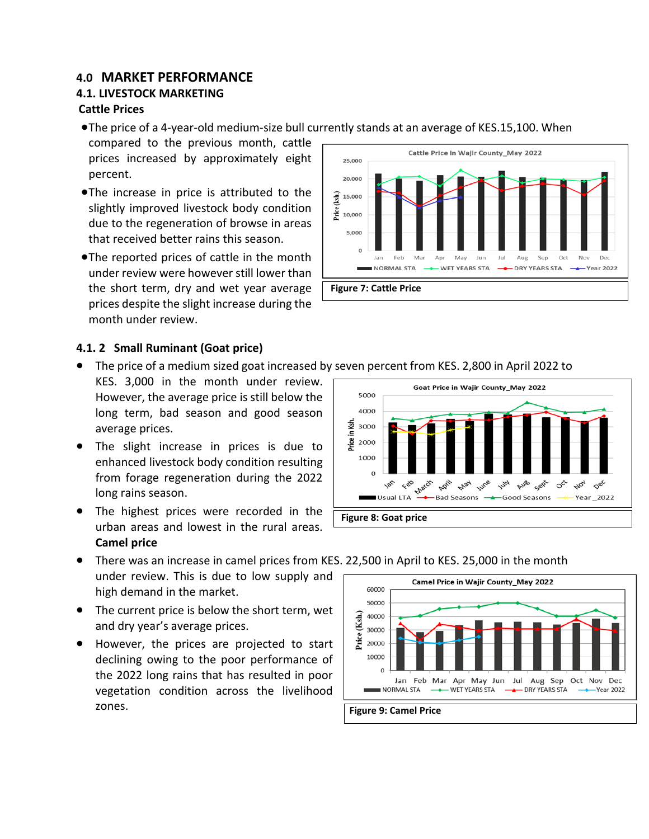## **4.0 MARKET PERFORMANCE**

### **4.1. LIVESTOCK MARKETING**

#### **Cattle Prices**

•The price of a 4-year-old medium-size bull currently stands at an average of KES.15,100. When

compared to the previous month, cattle prices increased by approximately eight percent.

- •The increase in price is attributed to the slightly improved livestock body condition due to the regeneration of browse in areas that received better rains this season.
- •The reported prices of cattle in the month under review were however still lower than the short term, dry and wet year average prices despite the slight increase during the month under review.



#### **4.1. 2 Small Ruminant (Goat price)**

- The price of a medium sized goat increased by seven percent from KES. 2,800 in April 2022 to
- KES. 3,000 in the month under review. However, the average price is still below the long term, bad season and good season average prices.
- The slight increase in prices is due to enhanced livestock body condition resulting from forage regeneration during the 2022 long rains season.
- The highest prices were recorded in the urban areas and lowest in the rural areas. **Camel price**



- There was an increase in camel prices from KES. 22,500 in April to KES. 25,000 in the month under review. This is due to low supply and high demand in the market.
- The current price is below the short term, wet and dry year's average prices.
- However, the prices are projected to start declining owing to the poor performance of the 2022 long rains that has resulted in poor vegetation condition across the livelihood zones.

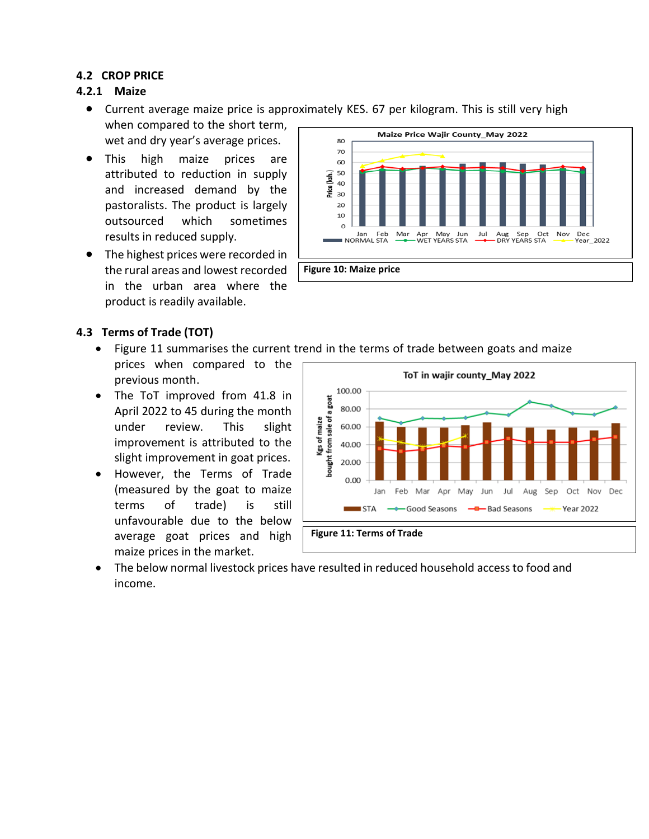### **4.2 CROP PRICE**

#### **4.2.1 Maize**

- Current average maize price is approximately KES. 67 per kilogram. This is still very high when compared to the short term,
	- wet and dry year's average prices.
- This high maize prices are attributed to reduction in supply and increased demand by the pastoralists. The product is largely outsourced which sometimes results in reduced supply.
- The highest prices were recorded in the rural areas and lowest recorded in the urban area where the product is readily available.



### **4.3 Terms of Trade (TOT)**

- Figure 11 summarises the current trend in the terms of trade between goats and maize prices when compared to the previous month.
- The ToT improved from 41.8 in April 2022 to 45 during the month under review. This slight improvement is attributed to the slight improvement in goat prices.
- However, the Terms of Trade (measured by the goat to maize terms of trade) is still unfavourable due to the below average goat prices and high maize prices in the market.



• The below normal livestock prices have resulted in reduced household access to food and income.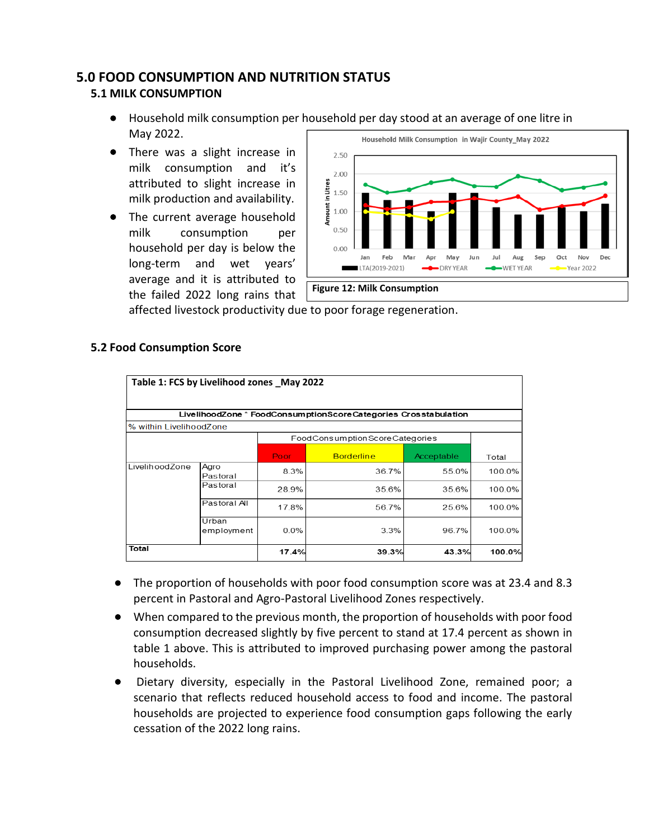## **5.0 FOOD CONSUMPTION AND NUTRITION STATUS**

### **5.1 MILK CONSUMPTION**

- Household milk consumption per household per day stood at an average of one litre in May 2022.
- There was a slight increase in milk consumption and it's attributed to slight increase in milk production and availability.
- The current average household milk consumption per household per day is below the long-term and wet years' average and it is attributed to the failed 2022 long rains that



affected livestock productivity due to poor forage regeneration.

| Table 1: FCS by Livelihood zones May 2022 |                     |                                |                                                                 |            |        |  |
|-------------------------------------------|---------------------|--------------------------------|-----------------------------------------------------------------|------------|--------|--|
|                                           |                     |                                | LivelihoodZone * FoodConsumptionScoreCategories Crosstabulation |            |        |  |
| % within LivelihoodZone                   |                     |                                |                                                                 |            |        |  |
|                                           |                     | FoodConsumptionScoreCategories |                                                                 |            |        |  |
|                                           |                     | Poor                           | <b>Borderline</b>                                               | Acceptable | Total  |  |
| LivelihoodZone                            | Agro<br>Pastoral    | 8.3%                           | 36.7%                                                           | 55.0%      | 100.0% |  |
|                                           | Pastoral            | 28.9%                          | 35.6%                                                           | 35.6%      | 100.0% |  |
|                                           | Pastoral All        | 17.8%                          | 56.7%                                                           | 25.6%      | 100.0% |  |
|                                           | Urban<br>employment | 0.0%                           | 3.3%                                                            | 96.7%      | 100.0% |  |
| Total                                     |                     | 17.4%                          | 39.3%                                                           | 43.3%      | 100.0% |  |

### **5.2 Food Consumption Score**

- The proportion of households with poor food consumption score was at 23.4 and 8.3 percent in Pastoral and Agro-Pastoral Livelihood Zones respectively.
- When compared to the previous month, the proportion of households with poor food consumption decreased slightly by five percent to stand at 17.4 percent as shown in table 1 above. This is attributed to improved purchasing power among the pastoral households.
- Dietary diversity, especially in the Pastoral Livelihood Zone, remained poor; a scenario that reflects reduced household access to food and income. The pastoral households are projected to experience food consumption gaps following the early cessation of the 2022 long rains.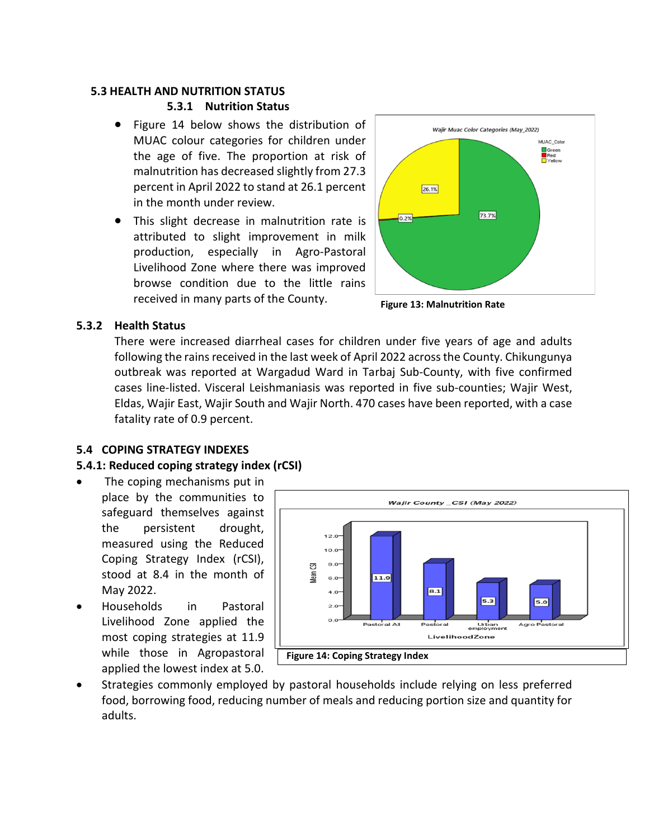#### **5.3 HEALTH AND NUTRITION STATUS**

#### **5.3.1 Nutrition Status**

- Figure 14 below shows the distribution of MUAC colour categories for children under the age of five. The proportion at risk of malnutrition has decreased slightly from 27.3 percent in April 2022 to stand at 26.1 percent in the month under review.
- This slight decrease in malnutrition rate is attributed to slight improvement in milk production, especially in Agro-Pastoral Livelihood Zone where there was improved browse condition due to the little rains received in many parts of the County.



**Figure 13: Malnutrition Rate** 

#### **5.3.2 Health Status**

There were increased diarrheal cases for children under five years of age and adults following the rains received in the last week of April 2022 across the County. Chikungunya outbreak was reported at Wargadud Ward in Tarbaj Sub-County, with five confirmed cases line-listed. Visceral Leishmaniasis was reported in five sub-counties; Wajir West, Eldas, Wajir East, Wajir South and Wajir North. 470 cases have been reported, with a case fatality rate of 0.9 percent.

### **5.4 COPING STRATEGY INDEXES**

## **5.4.1: Reduced coping strategy index (rCSI)**

- The coping mechanisms put in place by the communities to safeguard themselves against the persistent drought, measured using the Reduced Coping Strategy Index (rCSI), stood at 8.4 in the month of May 2022.
- Households in Pastoral Livelihood Zone applied the most coping strategies at 11.9 while those in Agropastoral applied the lowest index at 5.0.



• Strategies commonly employed by pastoral households include relying on less preferred food, borrowing food, reducing number of meals and reducing portion size and quantity for adults.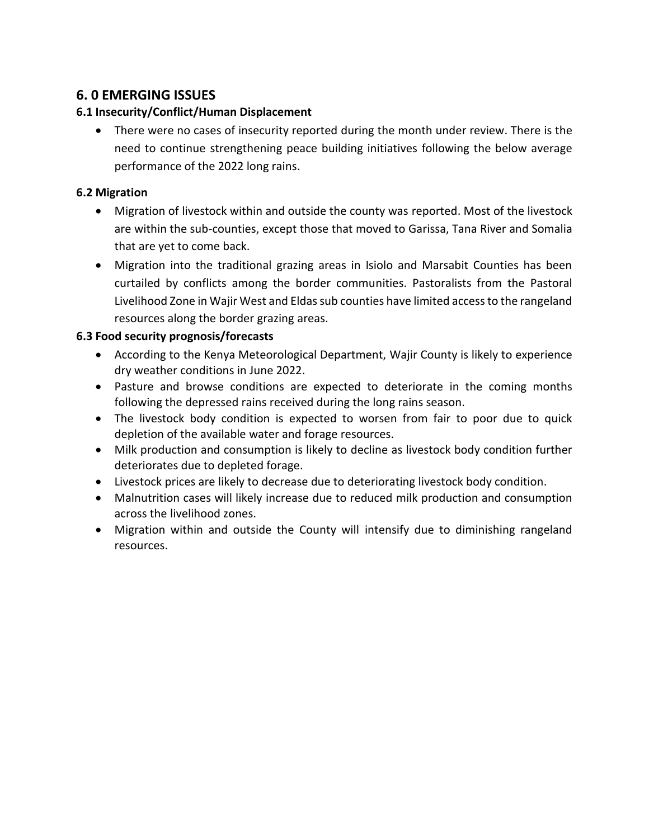# **6. 0 EMERGING ISSUES**

### **6.1 Insecurity/Conflict/Human Displacement**

• There were no cases of insecurity reported during the month under review. There is the need to continue strengthening peace building initiatives following the below average performance of the 2022 long rains.

### **6.2 Migration**

- Migration of livestock within and outside the county was reported. Most of the livestock are within the sub-counties, except those that moved to Garissa, Tana River and Somalia that are yet to come back.
- Migration into the traditional grazing areas in Isiolo and Marsabit Counties has been curtailed by conflicts among the border communities. Pastoralists from the Pastoral Livelihood Zone in Wajir West and Eldas sub counties have limited access to the rangeland resources along the border grazing areas.

### **6.3 Food security prognosis/forecasts**

- According to the Kenya Meteorological Department, Wajir County is likely to experience dry weather conditions in June 2022.
- Pasture and browse conditions are expected to deteriorate in the coming months following the depressed rains received during the long rains season.
- The livestock body condition is expected to worsen from fair to poor due to quick depletion of the available water and forage resources.
- Milk production and consumption is likely to decline as livestock body condition further deteriorates due to depleted forage.
- Livestock prices are likely to decrease due to deteriorating livestock body condition.
- Malnutrition cases will likely increase due to reduced milk production and consumption across the livelihood zones.
- Migration within and outside the County will intensify due to diminishing rangeland resources.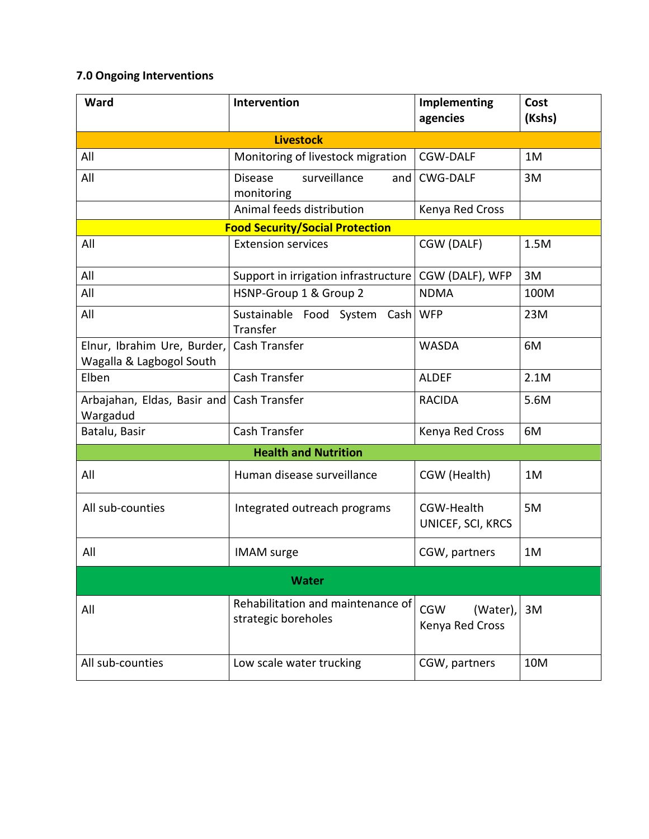## **7.0 Ongoing Interventions**

| Ward                                                    | Intervention                                             | Implementing<br>agencies                  | Cost<br>(Kshs) |  |  |
|---------------------------------------------------------|----------------------------------------------------------|-------------------------------------------|----------------|--|--|
| <b>Livestock</b>                                        |                                                          |                                           |                |  |  |
| All                                                     | Monitoring of livestock migration                        | <b>CGW-DALF</b>                           | 1M             |  |  |
| All                                                     | surveillance<br><b>Disease</b><br>and<br>monitoring      | <b>CWG-DALF</b>                           | 3M             |  |  |
|                                                         | Animal feeds distribution                                | Kenya Red Cross                           |                |  |  |
|                                                         | <b>Food Security/Social Protection</b>                   |                                           |                |  |  |
| All                                                     | <b>Extension services</b>                                | CGW (DALF)                                | 1.5M           |  |  |
| All                                                     | Support in irrigation infrastructure                     | CGW (DALF), WFP                           | 3M             |  |  |
| All                                                     | HSNP-Group 1 & Group 2                                   | <b>NDMA</b>                               | 100M           |  |  |
| All                                                     | Sustainable Food System Cash<br>Transfer                 | <b>WFP</b>                                | 23M            |  |  |
| Elnur, Ibrahim Ure, Burder,<br>Wagalla & Lagbogol South | Cash Transfer                                            | <b>WASDA</b>                              | 6M             |  |  |
| Elben                                                   | Cash Transfer                                            | <b>ALDEF</b>                              | 2.1M           |  |  |
| Arbajahan, Eldas, Basir and<br>Wargadud                 | Cash Transfer                                            | <b>RACIDA</b>                             | 5.6M           |  |  |
| Batalu, Basir                                           | Cash Transfer                                            | Kenya Red Cross                           | 6M             |  |  |
| <b>Health and Nutrition</b>                             |                                                          |                                           |                |  |  |
| All                                                     | Human disease surveillance                               | CGW (Health)                              | 1M             |  |  |
| All sub-counties                                        | Integrated outreach programs                             | CGW-Health<br>UNICEF, SCI, KRCS           | 5M             |  |  |
| All                                                     | <b>IMAM</b> surge                                        | CGW, partners                             | 1M             |  |  |
| <b>Water</b>                                            |                                                          |                                           |                |  |  |
| All                                                     | Rehabilitation and maintenance of<br>strategic boreholes | <b>CGW</b><br>(Water),<br>Kenya Red Cross | 3M             |  |  |
| All sub-counties                                        | Low scale water trucking                                 | CGW, partners                             | 10M            |  |  |